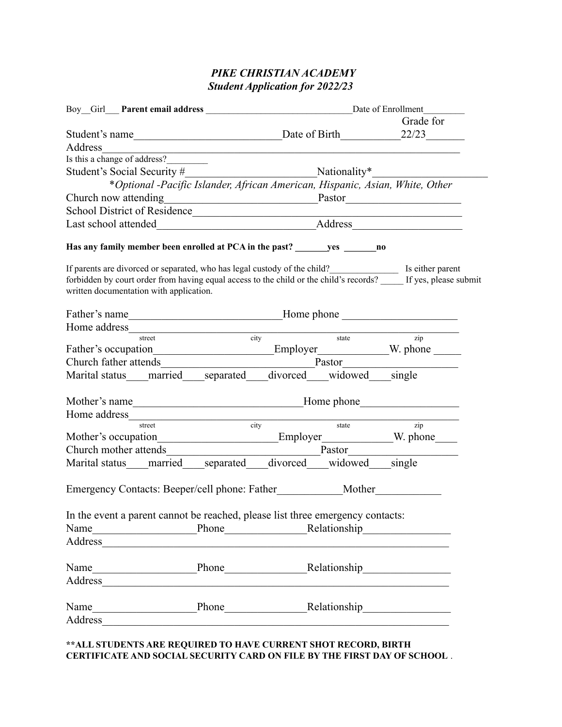# *PIKE CHRISTIAN ACADEMY Student Application for 2022/23*

|         |                                                                                  |                                                                                                                       |            |                                                                                                                       | Grade for                                                                                                                                                                                 |  |
|---------|----------------------------------------------------------------------------------|-----------------------------------------------------------------------------------------------------------------------|------------|-----------------------------------------------------------------------------------------------------------------------|-------------------------------------------------------------------------------------------------------------------------------------------------------------------------------------------|--|
|         |                                                                                  |                                                                                                                       |            |                                                                                                                       |                                                                                                                                                                                           |  |
| Address |                                                                                  | <u> 1989 - Johann Stoff, deutscher Stoffen und der Stoffen und der Stoffen und der Stoffen und der Stoffen und de</u> |            |                                                                                                                       |                                                                                                                                                                                           |  |
|         | Is this a change of address?                                                     |                                                                                                                       |            |                                                                                                                       |                                                                                                                                                                                           |  |
|         |                                                                                  |                                                                                                                       |            |                                                                                                                       |                                                                                                                                                                                           |  |
|         |                                                                                  |                                                                                                                       |            |                                                                                                                       | *Optional -Pacific Islander, African American, Hispanic, Asian, White, Other                                                                                                              |  |
|         |                                                                                  |                                                                                                                       |            |                                                                                                                       | Church now attending<br><u>Pastor</u>                                                                                                                                                     |  |
|         |                                                                                  |                                                                                                                       |            |                                                                                                                       |                                                                                                                                                                                           |  |
|         |                                                                                  |                                                                                                                       |            |                                                                                                                       |                                                                                                                                                                                           |  |
|         |                                                                                  |                                                                                                                       |            |                                                                                                                       |                                                                                                                                                                                           |  |
|         | written documentation with application.                                          |                                                                                                                       |            |                                                                                                                       | If parents are divorced or separated, who has legal custody of the child?<br>forbidden by court order from having equal access to the child or the child's records? If yes, please submit |  |
|         |                                                                                  |                                                                                                                       |            |                                                                                                                       |                                                                                                                                                                                           |  |
|         |                                                                                  |                                                                                                                       |            |                                                                                                                       |                                                                                                                                                                                           |  |
|         | Home address street city state                                                   |                                                                                                                       |            |                                                                                                                       | $\frac{1}{\sqrt{2}}$                                                                                                                                                                      |  |
|         |                                                                                  |                                                                                                                       |            |                                                                                                                       |                                                                                                                                                                                           |  |
|         |                                                                                  |                                                                                                                       |            |                                                                                                                       | Church father attends Pastor                                                                                                                                                              |  |
|         | Marital status married separated divorced widowed single                         |                                                                                                                       |            |                                                                                                                       |                                                                                                                                                                                           |  |
|         |                                                                                  |                                                                                                                       |            |                                                                                                                       |                                                                                                                                                                                           |  |
|         | Home address_                                                                    |                                                                                                                       |            |                                                                                                                       |                                                                                                                                                                                           |  |
|         | street                                                                           |                                                                                                                       | city state |                                                                                                                       | $\overline{zip}$                                                                                                                                                                          |  |
|         |                                                                                  |                                                                                                                       |            |                                                                                                                       |                                                                                                                                                                                           |  |
|         |                                                                                  |                                                                                                                       |            |                                                                                                                       |                                                                                                                                                                                           |  |
|         | Marital status married separated divorced widowed single                         |                                                                                                                       |            |                                                                                                                       |                                                                                                                                                                                           |  |
|         | Emergency Contacts: Beeper/cell phone: Father_____________Mother________________ |                                                                                                                       |            |                                                                                                                       |                                                                                                                                                                                           |  |
|         | In the event a parent cannot be reached, please list three emergency contacts:   |                                                                                                                       |            |                                                                                                                       |                                                                                                                                                                                           |  |
|         |                                                                                  |                                                                                                                       |            |                                                                                                                       |                                                                                                                                                                                           |  |
|         |                                                                                  |                                                                                                                       |            |                                                                                                                       |                                                                                                                                                                                           |  |
|         |                                                                                  |                                                                                                                       |            |                                                                                                                       |                                                                                                                                                                                           |  |
|         |                                                                                  |                                                                                                                       |            | <u> 1990 - Johann John Stoff, deutscher Stoffen und der Stoffen und der Stoffen und der Stoffen und der Stoffen u</u> |                                                                                                                                                                                           |  |
|         |                                                                                  |                                                                                                                       |            |                                                                                                                       |                                                                                                                                                                                           |  |
|         |                                                                                  |                                                                                                                       |            |                                                                                                                       |                                                                                                                                                                                           |  |
|         |                                                                                  |                                                                                                                       |            |                                                                                                                       |                                                                                                                                                                                           |  |
|         |                                                                                  |                                                                                                                       |            |                                                                                                                       |                                                                                                                                                                                           |  |

### **\*\*ALL STUDENTS ARE REQUIRED TO HAVE CURRENT SHOT RECORD, BIRTH CERTIFICATE AND SOCIAL SECURITY CARD ON FILE BY THE FIRST DAY OF SCHOOL** .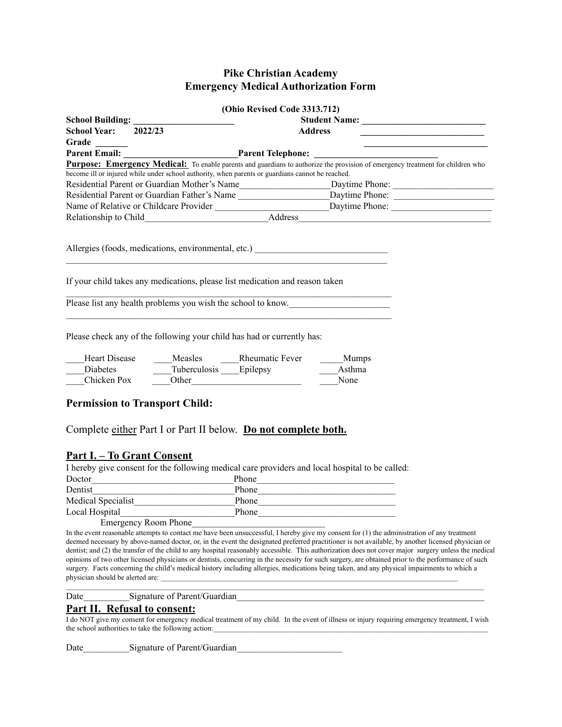### **Pike Christian Academy Emergency Medical Authorization Form**

|                      |                                                                                                  | (Ohio Revised Code 3313.712)                                                                                                                                |  |  |
|----------------------|--------------------------------------------------------------------------------------------------|-------------------------------------------------------------------------------------------------------------------------------------------------------------|--|--|
|                      |                                                                                                  |                                                                                                                                                             |  |  |
| <b>School Year:</b>  | 2022/23                                                                                          | <b>Address</b>                                                                                                                                              |  |  |
| Grade _______        |                                                                                                  | <u> 1989 - Johann Barn, fransk politik (d. 1989)</u>                                                                                                        |  |  |
|                      |                                                                                                  | Parent Email:<br>Parent Email: <u>Francisco Medical:</u> To enable parents and guardians to authorize the provision of emergency treatment for children who |  |  |
|                      |                                                                                                  |                                                                                                                                                             |  |  |
|                      | become ill or injured while under school authority, when parents or guardians cannot be reached. |                                                                                                                                                             |  |  |
|                      |                                                                                                  |                                                                                                                                                             |  |  |
|                      |                                                                                                  | Residential Parent or Guardian Father's Name ___________________________Daytime Phone: _______________________                                              |  |  |
|                      |                                                                                                  |                                                                                                                                                             |  |  |
|                      |                                                                                                  |                                                                                                                                                             |  |  |
|                      |                                                                                                  |                                                                                                                                                             |  |  |
|                      |                                                                                                  |                                                                                                                                                             |  |  |
|                      |                                                                                                  | Allergies (foods, medications, environmental, etc.) _____________________________                                                                           |  |  |
|                      |                                                                                                  |                                                                                                                                                             |  |  |
|                      |                                                                                                  |                                                                                                                                                             |  |  |
|                      | If your child takes any medications, please list medication and reason taken                     |                                                                                                                                                             |  |  |
|                      |                                                                                                  |                                                                                                                                                             |  |  |
|                      |                                                                                                  | Please list any health problems you wish the school to know.                                                                                                |  |  |
|                      |                                                                                                  | <u> 1989 - Johann Stoff, deutscher Stoff, der Stoff, der Stoff, der Stoff, der Stoff, der Stoff, der Stoff, der S</u>                                       |  |  |
|                      |                                                                                                  |                                                                                                                                                             |  |  |
|                      | Please check any of the following your child has had or currently has:                           |                                                                                                                                                             |  |  |
|                      |                                                                                                  |                                                                                                                                                             |  |  |
| <b>Heart Disease</b> | Measles Rheumatic Fever                                                                          | Mumps                                                                                                                                                       |  |  |
| Diabetes             | Tuberculosis Epilepsy                                                                            | Asthma                                                                                                                                                      |  |  |
| Chicken Pox          |                                                                                                  | None                                                                                                                                                        |  |  |
|                      | Other                                                                                            |                                                                                                                                                             |  |  |
|                      |                                                                                                  |                                                                                                                                                             |  |  |
|                      | <b>Permission to Transport Child:</b>                                                            |                                                                                                                                                             |  |  |
|                      |                                                                                                  |                                                                                                                                                             |  |  |
|                      | Complete either Part I or Part II below. Do not complete both.                                   |                                                                                                                                                             |  |  |
|                      |                                                                                                  |                                                                                                                                                             |  |  |
|                      |                                                                                                  |                                                                                                                                                             |  |  |
|                      | <u>Part I. – To Grant Consent</u>                                                                |                                                                                                                                                             |  |  |
|                      |                                                                                                  | I hereby give consent for the following medical care providers and local hospital to be called:                                                             |  |  |

|                             | I hereby give consent for the following medical care providers and local hospital to be called |
|-----------------------------|------------------------------------------------------------------------------------------------|
| Doctor                      | Phone                                                                                          |
| Dentist                     | Phone                                                                                          |
| Medical Specialist          | Phone                                                                                          |
| Local Hospital              | Phone                                                                                          |
| <b>Emergency Room Phone</b> |                                                                                                |

In the event reasonable attempts to contact  $\overline{me}$  have been unsuccessful, I hereby give my consent for (1) the administration of any treatment deemed necessary by above-named doctor, or, in the event the designated preferred practitioner is not available, by another licensed physician or dentist; and (2) the transfer of the child to any hospital reasonably accessible. This authorization does not cover major surgery unless the medical opinions of two other licensed physicians or dentists, concurring in the necessity for such surgery, are obtained prior to the performance of such surgery. Facts concerning the child's medical history including allergies, medications being taken, and any physical impairments to which a physician should be alerted are:

 $\mathcal{L}_\mathcal{L} = \{ \mathcal{L}_\mathcal{L} = \{ \mathcal{L}_\mathcal{L} = \{ \mathcal{L}_\mathcal{L} = \{ \mathcal{L}_\mathcal{L} = \{ \mathcal{L}_\mathcal{L} = \{ \mathcal{L}_\mathcal{L} = \{ \mathcal{L}_\mathcal{L} = \{ \mathcal{L}_\mathcal{L} = \{ \mathcal{L}_\mathcal{L} = \{ \mathcal{L}_\mathcal{L} = \{ \mathcal{L}_\mathcal{L} = \{ \mathcal{L}_\mathcal{L} = \{ \mathcal{L}_\mathcal{L} = \{ \mathcal{L}_\mathcal{$ 

Date Signature of Parent/Guardian

### **Part II. Refusal to consent:**

I do NOT give my consent for emergency medical treatment of my child. In the event of illness or injury requiring emergency treatment, I wish the school authorities to take the following action:

Date Signature of Parent/Guardian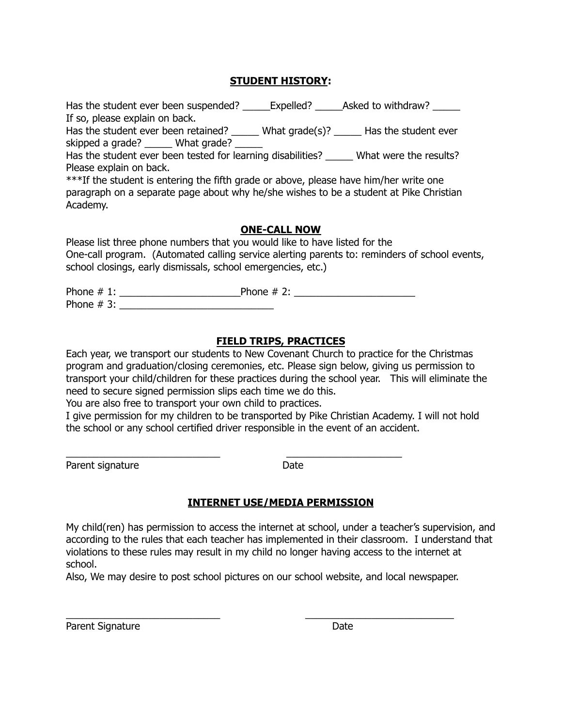## **STUDENT HISTORY:**

| Has the student ever been suspended? _______Expelled? _______Asked to withdraw? ____   |                                     |
|----------------------------------------------------------------------------------------|-------------------------------------|
| If so, please explain on back.                                                         |                                     |
| Has the student ever been retained?                                                    | What grade(s)? Has the student ever |
| skipped a grade? ______ What grade?                                                    |                                     |
| Has the student ever been tested for learning disabilities? What were the results?     |                                     |
| Please explain on back.                                                                |                                     |
| ***If the student is entering the fifth grade or above, please have him/her write one  |                                     |
| paragraph on a separate page about why he/she wishes to be a student at Pike Christian |                                     |
| Academy.                                                                               |                                     |
|                                                                                        |                                     |
|                                                                                        | <b>ONE-CALL NOW</b>                 |
| place list three phone numbers that you would like to have listed for the              |                                     |

Please list three phone numbers that you would like to have listed for the One-call program. (Automated calling service alerting parents to: reminders of school events, school closings, early dismissals, school emergencies, etc.)

Phone # 1: \_\_\_\_\_\_\_\_\_\_\_\_\_\_\_\_\_\_\_\_\_\_Phone # 2: \_\_\_\_\_\_\_\_\_\_\_\_\_\_\_\_\_\_\_\_\_\_ Phone  $\# 3$ :

\_\_\_\_\_\_\_\_\_\_\_\_\_\_\_\_\_\_\_\_\_\_\_\_\_\_\_\_ \_\_\_\_\_\_\_\_\_\_\_\_\_\_\_\_\_\_\_\_\_

## **FIELD TRIPS, PRACTICES**

Each year, we transport our students to New Covenant Church to practice for the Christmas program and graduation/closing ceremonies, etc. Please sign below, giving us permission to transport your child/children for these practices during the school year. This will eliminate the need to secure signed permission slips each time we do this.

You are also free to transport your own child to practices.

I give permission for my children to be transported by Pike Christian Academy. I will not hold the school or any school certified driver responsible in the event of an accident.

Parent signature Date

### **INTERNET USE/MEDIA PERMISSION**

My child(ren) has permission to access the internet at school, under a teacher's supervision, and according to the rules that each teacher has implemented in their classroom. I understand that violations to these rules may result in my child no longer having access to the internet at school.

Also, We may desire to post school pictures on our school website, and local newspaper.

\_\_\_\_\_\_\_\_\_\_\_\_\_\_\_\_\_\_\_\_\_\_\_\_\_\_\_\_ \_\_\_\_\_\_\_\_\_\_\_\_\_\_\_\_\_\_\_\_\_\_\_\_\_\_\_

Parent Signature Date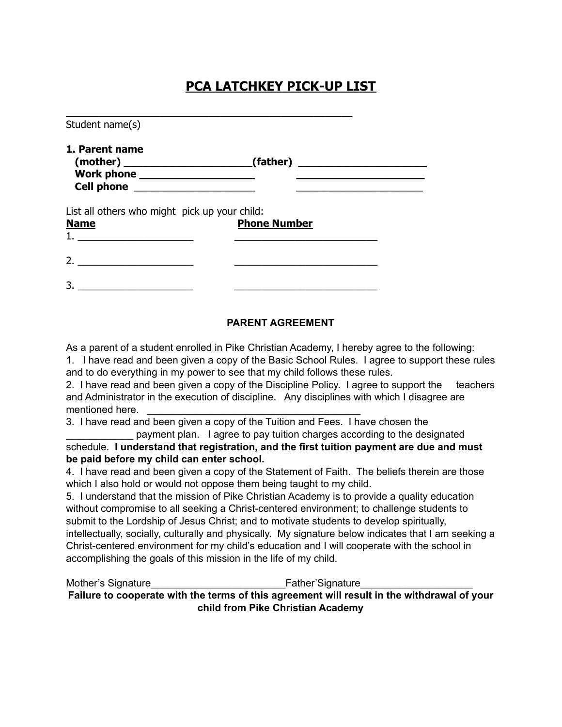# **PCA LATCHKEY PICK-UP LIST**

| Student name(s)                                                                          |                              |  |
|------------------------------------------------------------------------------------------|------------------------------|--|
| 1. Parent name<br>Work phone ______________________<br>Cell phone ______________________ | $(mother)$ (mother) (father) |  |
| List all others who might pick up your child:<br><b>Name</b>                             | <b>Phone Number</b>          |  |
| 2. $\qquad \qquad$                                                                       |                              |  |
|                                                                                          |                              |  |

## **PARENT AGREEMENT**

As a parent of a student enrolled in Pike Christian Academy, I hereby agree to the following: 1. I have read and been given a copy of the Basic School Rules. I agree to support these rules

and to do everything in my power to see that my child follows these rules.

2. I have read and been given a copy of the Discipline Policy. I agree to support the teachers and Administrator in the execution of discipline. Any disciplines with which I disagree are mentioned here.

3. I have read and been given a copy of the Tuition and Fees. I have chosen the

payment plan. I agree to pay tuition charges according to the designated schedule. **I understand that registration, and the first tuition payment are due and must be paid before my child can enter school.**

4. I have read and been given a copy of the Statement of Faith. The beliefs therein are those which I also hold or would not oppose them being taught to my child.

5. I understand that the mission of Pike Christian Academy is to provide a quality education without compromise to all seeking a Christ-centered environment; to challenge students to submit to the Lordship of Jesus Christ; and to motivate students to develop spiritually, intellectually, socially, culturally and physically. My signature below indicates that I am seeking a Christ-centered environment for my child's education and I will cooperate with the school in accomplishing the goals of this mission in the life of my child.

Mother's Signature **Mother's Signature Mother's** Signature **Failure to cooperate with the terms of this agreement will result in the withdrawal of your child from Pike Christian Academy**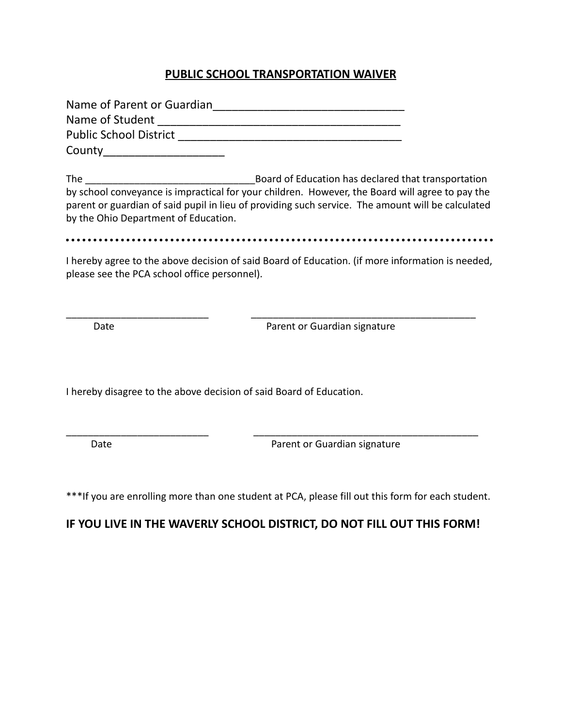# **PUBLIC SCHOOL TRANSPORTATION WAIVER**

| Name of Parent or Guardian    |
|-------------------------------|
| Name of Student               |
| <b>Public School District</b> |
| County                        |

The \_\_\_\_\_\_\_\_\_\_\_\_\_\_\_\_\_\_\_\_\_\_\_\_\_\_\_\_\_\_\_Board of Education has declared that transportation by school conveyance is impractical for your children. However, the Board will agree to pay the parent or guardian of said pupil in lieu of providing such service. The amount will be calculated by the Ohio Department of Education.

I hereby agree to the above decision of said Board of Education. (if more information is needed, please see the PCA school office personnel).

\_\_\_\_\_\_\_\_\_\_\_\_\_\_\_\_\_\_\_\_\_\_\_\_\_\_ \_\_\_\_\_\_\_\_\_\_\_\_\_\_\_\_\_\_\_\_\_\_\_\_\_\_\_\_\_\_\_\_\_\_\_\_\_\_\_\_\_

Date **Date Parent or Guardian signature** 

I hereby disagree to the above decision of said Board of Education.

Date **Date Parent or Guardian signature** 

\*\*\*If you are enrolling more than one student at PCA, please fill out this form for each student.

\_\_\_\_\_\_\_\_\_\_\_\_\_\_\_\_\_\_\_\_\_\_\_\_\_\_ \_\_\_\_\_\_\_\_\_\_\_\_\_\_\_\_\_\_\_\_\_\_\_\_\_\_\_\_\_\_\_\_\_\_\_\_\_\_\_\_\_

### **IF YOU LIVE IN THE WAVERLY SCHOOL DISTRICT, DO NOT FILL OUT THIS FORM!**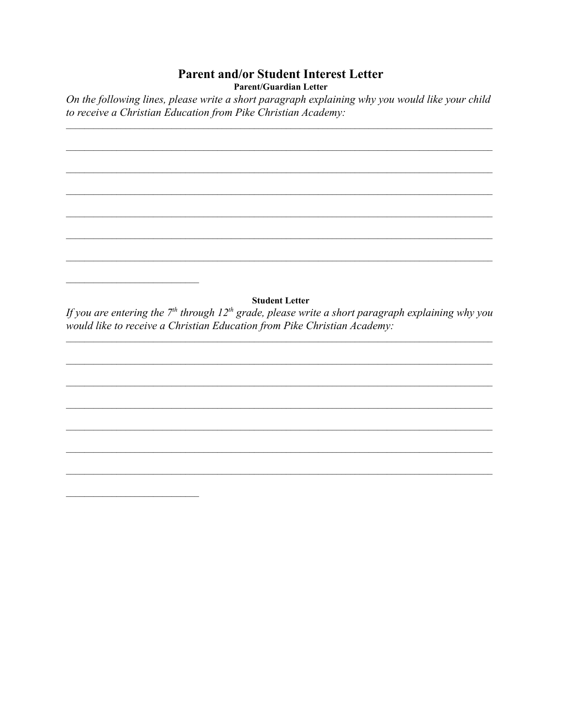# **Parent and/or Student Interest Letter**

**Parent/Guardian Letter** 

On the following lines, please write a short paragraph explaining why you would like your child to receive a Christian Education from Pike Christian Academy:

**Student Letter** If you are entering the  $7<sup>th</sup>$  through 12<sup>th</sup> grade, please write a short paragraph explaining why you would like to receive a Christian Education from Pike Christian Academy: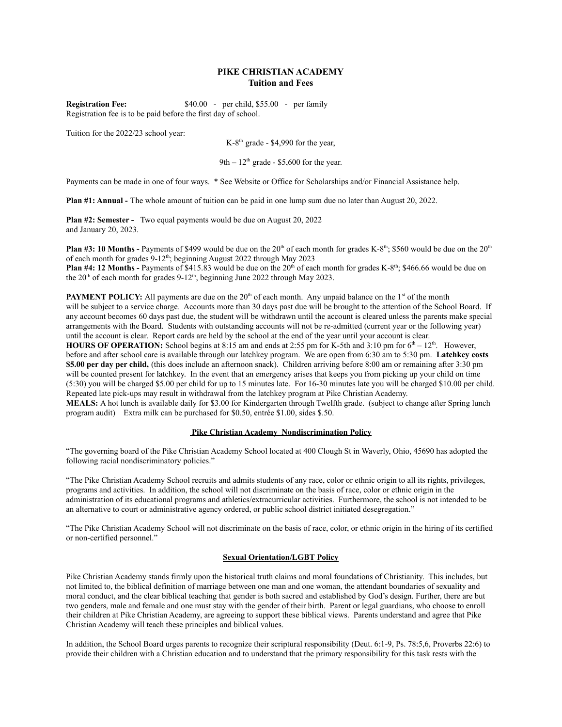#### **PIKE CHRISTIAN ACADEMY Tuition and Fees**

**Registration Fee:** \$40.00 - per child, \$55.00 - per family Registration fee is to be paid before the first day of school.

Tuition for the 2022/23 school year:

 $K-8<sup>th</sup>$  grade - \$4,990 for the year,

9th  $-12$ <sup>th</sup> grade - \$5,600 for the year.

Payments can be made in one of four ways. \* See Website or Office for Scholarships and/or Financial Assistance help.

**Plan #1: Annual -** The whole amount of tuition can be paid in one lump sum due no later than August 20, 2022.

**Plan #2: Semester -** Two equal payments would be due on August 20, 2022 and January 20, 2023.

**Plan #3: 10 Months -** Payments of \$499 would be due on the 20<sup>th</sup> of each month for grades K-8<sup>th</sup>; \$560 would be due on the 20<sup>th</sup> of each month for grades 9-12<sup>th</sup>; beginning August 2022 through May 2023

**Plan #4: 12 Months -** Payments of \$415.83 would be due on the 20<sup>th</sup> of each month for grades K-8<sup>th</sup>; \$466.66 would be due on the  $20<sup>th</sup>$  of each month for grades 9-12<sup>th</sup>, beginning June 2022 through May 2023.

**PAYMENT POLICY:** All payments are due on the 20<sup>th</sup> of each month. Any unpaid balance on the 1<sup>st</sup> of the month will be subject to a service charge. Accounts more than 30 days past due will be brought to the attention of the School Board. If any account becomes 60 days past due, the student will be withdrawn until the account is cleared unless the parents make special arrangements with the Board. Students with outstanding accounts will not be re-admitted (current year or the following year) until the account is clear. Report cards are held by the school at the end of the year until your account is clear.

**HOURS OF OPERATION:** School begins at 8:15 am and ends at 2:55 pm for K-5th and 3:10 pm for  $6<sup>th</sup> - 12<sup>th</sup>$ . However, before and after school care is available through our latchkey program. We are open from 6:30 am to 5:30 pm. **Latchkey costs \$5.00 per day per child,** (this does include an afternoon snack). Children arriving before 8:00 am or remaining after 3:30 pm will be counted present for latchkey. In the event that an emergency arises that keeps you from picking up your child on time (5:30) you will be charged \$5.00 per child for up to 15 minutes late. For 16-30 minutes late you will be charged \$10.00 per child. Repeated late pick-ups may result in withdrawal from the latchkey program at Pike Christian Academy.

**MEALS:** A hot lunch is available daily for \$3.00 for Kindergarten through Twelfth grade. (subject to change after Spring lunch program audit) Extra milk can be purchased for \$0.50, entrée \$1.00, sides \$.50.

#### **Pike Christian Academy Nondiscrimination Policy**

"The governing board of the Pike Christian Academy School located at 400 Clough St in Waverly, Ohio, 45690 has adopted the following racial nondiscriminatory policies."

"The Pike Christian Academy School recruits and admits students of any race, color or ethnic origin to all its rights, privileges, programs and activities. In addition, the school will not discriminate on the basis of race, color or ethnic origin in the administration of its educational programs and athletics/extracurricular activities. Furthermore, the school is not intended to be an alternative to court or administrative agency ordered, or public school district initiated desegregation."

"The Pike Christian Academy School will not discriminate on the basis of race, color, or ethnic origin in the hiring of its certified or non-certified personnel."

#### **Sexual Orientation/LGBT Policy**

Pike Christian Academy stands firmly upon the historical truth claims and moral foundations of Christianity. This includes, but not limited to, the biblical definition of marriage between one man and one woman, the attendant boundaries of sexuality and moral conduct, and the clear biblical teaching that gender is both sacred and established by God's design. Further, there are but two genders, male and female and one must stay with the gender of their birth. Parent or legal guardians, who choose to enroll their children at Pike Christian Academy, are agreeing to support these biblical views. Parents understand and agree that Pike Christian Academy will teach these principles and biblical values.

In addition, the School Board urges parents to recognize their scriptural responsibility (Deut. 6:1-9, Ps. 78:5,6, Proverbs 22:6) to provide their children with a Christian education and to understand that the primary responsibility for this task rests with the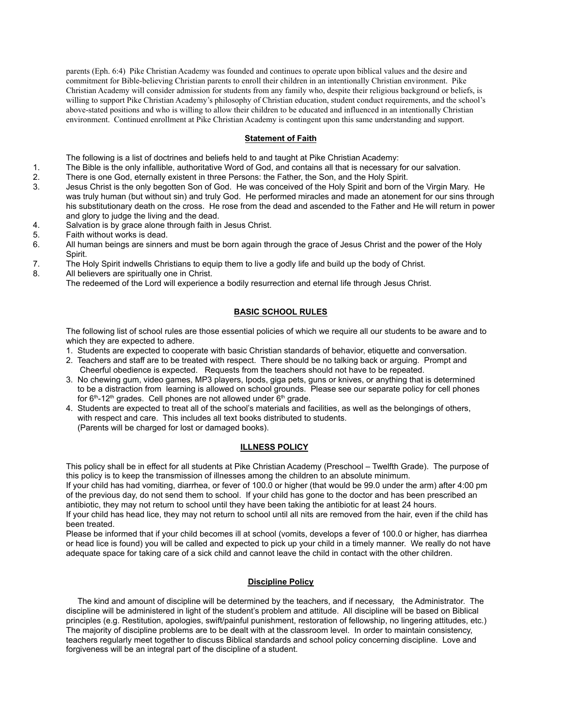parents (Eph. 6:4) Pike Christian Academy was founded and continues to operate upon biblical values and the desire and commitment for Bible-believing Christian parents to enroll their children in an intentionally Christian environment. Pike Christian Academy will consider admission for students from any family who, despite their religious background or beliefs, is willing to support Pike Christian Academy's philosophy of Christian education, student conduct requirements, and the school's above-stated positions and who is willing to allow their children to be educated and influenced in an intentionally Christian environment. Continued enrollment at Pike Christian Academy is contingent upon this same understanding and support.

#### **Statement of Faith**

The following is a list of doctrines and beliefs held to and taught at Pike Christian Academy:

- 1. The Bible is the only infallible, authoritative Word of God, and contains all that is necessary for our salvation.
- 2. There is one God, eternally existent in three Persons: the Father, the Son, and the Holy Spirit.
- 3. Jesus Christ is the only begotten Son of God. He was conceived of the Holy Spirit and born of the Virgin Mary. He was truly human (but without sin) and truly God. He performed miracles and made an atonement for our sins through his substitutionary death on the cross. He rose from the dead and ascended to the Father and He will return in power and glory to judge the living and the dead.
- 4. Salvation is by grace alone through faith in Jesus Christ.
- 5. Faith without works is dead.
- 6. All human beings are sinners and must be born again through the grace of Jesus Christ and the power of the Holy Spirit.
- 7. The Holy Spirit indwells Christians to equip them to live a godly life and build up the body of Christ.
- 8. All believers are spiritually one in Christ.
	- The redeemed of the Lord will experience a bodily resurrection and eternal life through Jesus Christ.

#### **BASIC SCHOOL RULES**

The following list of school rules are those essential policies of which we require all our students to be aware and to which they are expected to adhere.

- 1. Students are expected to cooperate with basic Christian standards of behavior, etiquette and conversation.
- 2. Teachers and staff are to be treated with respect. There should be no talking back or arguing. Prompt and Cheerful obedience is expected. Requests from the teachers should not have to be repeated.
- 3. No chewing gum, video games, MP3 players, Ipods, giga pets, guns or knives, or anything that is determined to be a distraction from learning is allowed on school grounds. Please see our separate policy for cell phones for  $6<sup>th</sup>$ -12<sup>th</sup> grades. Cell phones are not allowed under  $6<sup>th</sup>$  grade.
- 4. Students are expected to treat all of the school's materials and facilities, as well as the belongings of others, with respect and care. This includes all text books distributed to students. (Parents will be charged for lost or damaged books).

#### **ILLNESS POLICY**

This policy shall be in effect for all students at Pike Christian Academy (Preschool – Twelfth Grade). The purpose of this policy is to keep the transmission of illnesses among the children to an absolute minimum.

If your child has had vomiting, diarrhea, or fever of 100.0 or higher (that would be 99.0 under the arm) after 4:00 pm of the previous day, do not send them to school. If your child has gone to the doctor and has been prescribed an antibiotic, they may not return to school until they have been taking the antibiotic for at least 24 hours.

If your child has head lice, they may not return to school until all nits are removed from the hair, even if the child has been treated.

Please be informed that if your child becomes ill at school (vomits, develops a fever of 100.0 or higher, has diarrhea or head lice is found) you will be called and expected to pick up your child in a timely manner. We really do not have adequate space for taking care of a sick child and cannot leave the child in contact with the other children.

#### **Discipline Policy**

The kind and amount of discipline will be determined by the teachers, and if necessary, the Administrator. The discipline will be administered in light of the student's problem and attitude. All discipline will be based on Biblical principles (e.g. Restitution, apologies, swift/painful punishment, restoration of fellowship, no lingering attitudes, etc.) The majority of discipline problems are to be dealt with at the classroom level. In order to maintain consistency, teachers regularly meet together to discuss Biblical standards and school policy concerning discipline. Love and forgiveness will be an integral part of the discipline of a student.